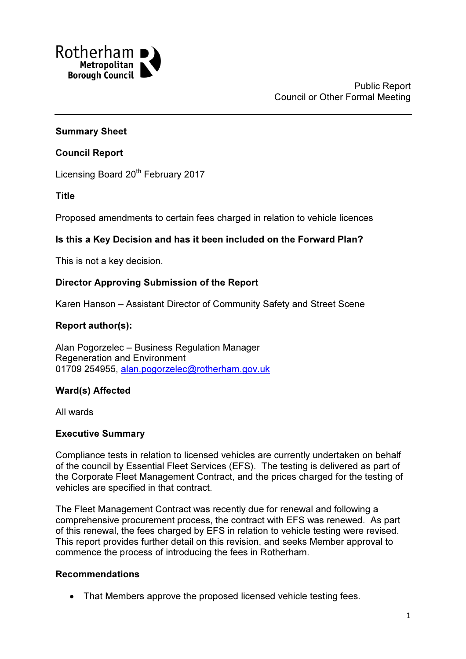

### Summary Sheet

### Council Report

Licensing Board 20<sup>th</sup> February 2017

Title

Proposed amendments to certain fees charged in relation to vehicle licences

### Is this a Key Decision and has it been included on the Forward Plan?

This is not a key decision.

### Director Approving Submission of the Report

Karen Hanson – Assistant Director of Community Safety and Street Scene

### Report author(s):

Alan Pogorzelec – Business Regulation Manager Regeneration and Environment 01709 254955, alan.pogorzelec@rotherham.gov.uk

# Ward(s) Affected

All wards

### Executive Summary

Compliance tests in relation to licensed vehicles are currently undertaken on behalf of the council by Essential Fleet Services (EFS). The testing is delivered as part of the Corporate Fleet Management Contract, and the prices charged for the testing of vehicles are specified in that contract.

The Fleet Management Contract was recently due for renewal and following a comprehensive procurement process, the contract with EFS was renewed. As part of this renewal, the fees charged by EFS in relation to vehicle testing were revised. This report provides further detail on this revision, and seeks Member approval to commence the process of introducing the fees in Rotherham.

### Recommendations

• That Members approve the proposed licensed vehicle testing fees.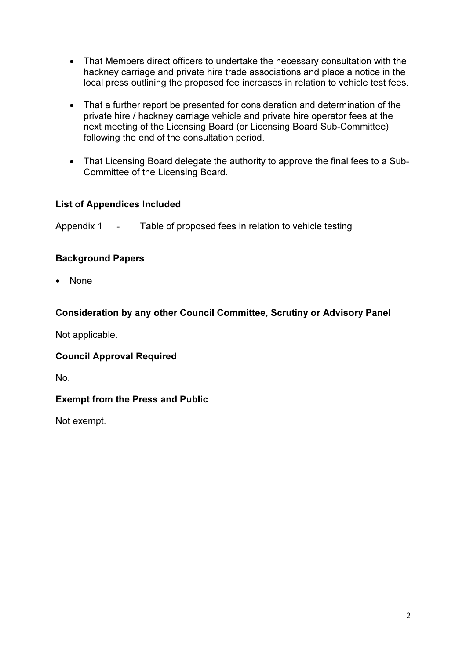- That Members direct officers to undertake the necessary consultation with the hackney carriage and private hire trade associations and place a notice in the local press outlining the proposed fee increases in relation to vehicle test fees.
- That a further report be presented for consideration and determination of the private hire / hackney carriage vehicle and private hire operator fees at the next meeting of the Licensing Board (or Licensing Board Sub-Committee) following the end of the consultation period.
- That Licensing Board delegate the authority to approve the final fees to a Sub-Committee of the Licensing Board.

# List of Appendices Included

Appendix 1 - Table of proposed fees in relation to vehicle testing

# Background Papers

• None

# Consideration by any other Council Committee, Scrutiny or Advisory Panel

Not applicable.

# Council Approval Required

No.

# Exempt from the Press and Public

Not exempt.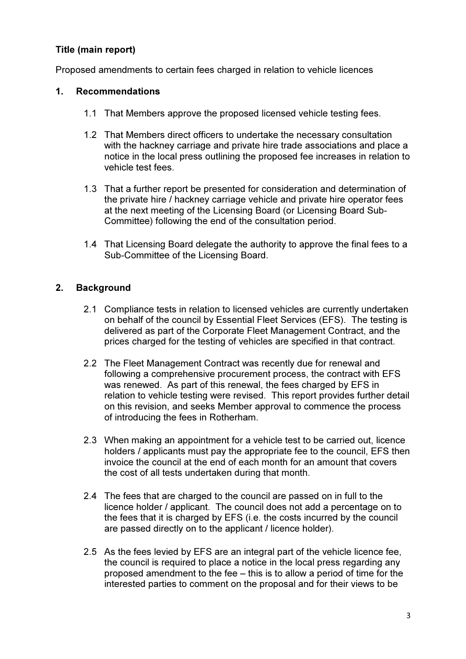# Title (main report)

Proposed amendments to certain fees charged in relation to vehicle licences

### 1. Recommendations

- 1.1 That Members approve the proposed licensed vehicle testing fees.
- 1.2 That Members direct officers to undertake the necessary consultation with the hackney carriage and private hire trade associations and place a notice in the local press outlining the proposed fee increases in relation to vehicle test fees.
- 1.3 That a further report be presented for consideration and determination of the private hire / hackney carriage vehicle and private hire operator fees at the next meeting of the Licensing Board (or Licensing Board Sub-Committee) following the end of the consultation period.
- 1.4 That Licensing Board delegate the authority to approve the final fees to a Sub-Committee of the Licensing Board.

# 2. Background

- 2.1 Compliance tests in relation to licensed vehicles are currently undertaken on behalf of the council by Essential Fleet Services (EFS). The testing is delivered as part of the Corporate Fleet Management Contract, and the prices charged for the testing of vehicles are specified in that contract.
- 2.2 The Fleet Management Contract was recently due for renewal and following a comprehensive procurement process, the contract with EFS was renewed. As part of this renewal, the fees charged by EFS in relation to vehicle testing were revised. This report provides further detail on this revision, and seeks Member approval to commence the process of introducing the fees in Rotherham.
- 2.3 When making an appointment for a vehicle test to be carried out, licence holders / applicants must pay the appropriate fee to the council. EFS then invoice the council at the end of each month for an amount that covers the cost of all tests undertaken during that month.
- 2.4 The fees that are charged to the council are passed on in full to the licence holder / applicant. The council does not add a percentage on to the fees that it is charged by EFS (i.e. the costs incurred by the council are passed directly on to the applicant / licence holder).
- 2.5 As the fees levied by EFS are an integral part of the vehicle licence fee, the council is required to place a notice in the local press regarding any proposed amendment to the fee – this is to allow a period of time for the interested parties to comment on the proposal and for their views to be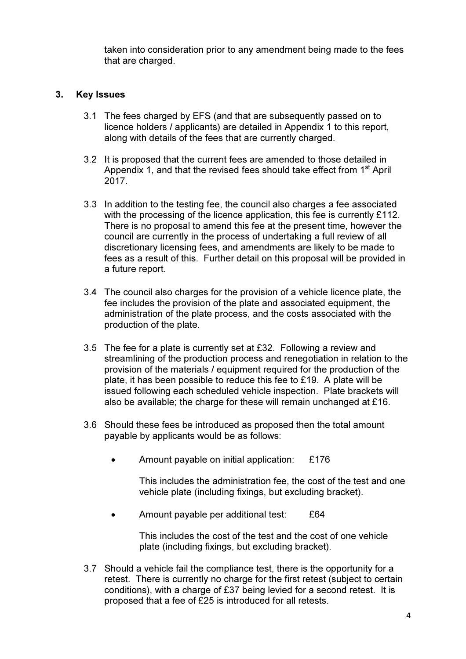taken into consideration prior to any amendment being made to the fees that are charged.

### 3. Key Issues

- 3.1 The fees charged by EFS (and that are subsequently passed on to licence holders / applicants) are detailed in Appendix 1 to this report, along with details of the fees that are currently charged.
- 3.2 It is proposed that the current fees are amended to those detailed in Appendix 1, and that the revised fees should take effect from  $1<sup>st</sup>$  April 2017.
- 3.3 In addition to the testing fee, the council also charges a fee associated with the processing of the licence application, this fee is currently £112. There is no proposal to amend this fee at the present time, however the council are currently in the process of undertaking a full review of all discretionary licensing fees, and amendments are likely to be made to fees as a result of this. Further detail on this proposal will be provided in a future report.
- 3.4 The council also charges for the provision of a vehicle licence plate, the fee includes the provision of the plate and associated equipment, the administration of the plate process, and the costs associated with the production of the plate.
- 3.5 The fee for a plate is currently set at £32. Following a review and streamlining of the production process and renegotiation in relation to the provision of the materials / equipment required for the production of the plate, it has been possible to reduce this fee to £19. A plate will be issued following each scheduled vehicle inspection. Plate brackets will also be available; the charge for these will remain unchanged at £16.
- 3.6 Should these fees be introduced as proposed then the total amount payable by applicants would be as follows:
	- Amount payable on initial application: £176

This includes the administration fee, the cost of the test and one vehicle plate (including fixings, but excluding bracket).

• Amount payable per additional test: £64

This includes the cost of the test and the cost of one vehicle plate (including fixings, but excluding bracket).

3.7 Should a vehicle fail the compliance test, there is the opportunity for a retest. There is currently no charge for the first retest (subject to certain conditions), with a charge of £37 being levied for a second retest. It is proposed that a fee of £25 is introduced for all retests.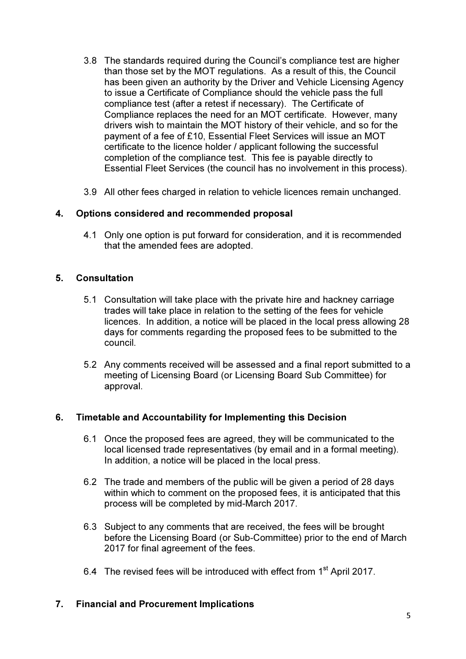- 3.8 The standards required during the Council's compliance test are higher than those set by the MOT regulations. As a result of this, the Council has been given an authority by the Driver and Vehicle Licensing Agency to issue a Certificate of Compliance should the vehicle pass the full compliance test (after a retest if necessary). The Certificate of Compliance replaces the need for an MOT certificate. However, many drivers wish to maintain the MOT history of their vehicle, and so for the payment of a fee of £10, Essential Fleet Services will issue an MOT certificate to the licence holder / applicant following the successful completion of the compliance test. This fee is payable directly to Essential Fleet Services (the council has no involvement in this process).
- 3.9 All other fees charged in relation to vehicle licences remain unchanged.

### 4. Options considered and recommended proposal

4.1 Only one option is put forward for consideration, and it is recommended that the amended fees are adopted.

### 5. Consultation

- 5.1 Consultation will take place with the private hire and hackney carriage trades will take place in relation to the setting of the fees for vehicle licences. In addition, a notice will be placed in the local press allowing 28 days for comments regarding the proposed fees to be submitted to the council.
- 5.2 Any comments received will be assessed and a final report submitted to a meeting of Licensing Board (or Licensing Board Sub Committee) for approval.

### 6. Timetable and Accountability for Implementing this Decision

- 6.1 Once the proposed fees are agreed, they will be communicated to the local licensed trade representatives (by email and in a formal meeting). In addition, a notice will be placed in the local press.
- 6.2 The trade and members of the public will be given a period of 28 days within which to comment on the proposed fees, it is anticipated that this process will be completed by mid-March 2017.
- 6.3 Subject to any comments that are received, the fees will be brought before the Licensing Board (or Sub-Committee) prior to the end of March 2017 for final agreement of the fees.
- 6.4 The revised fees will be introduced with effect from 1<sup>st</sup> April 2017.

### 7. Financial and Procurement Implications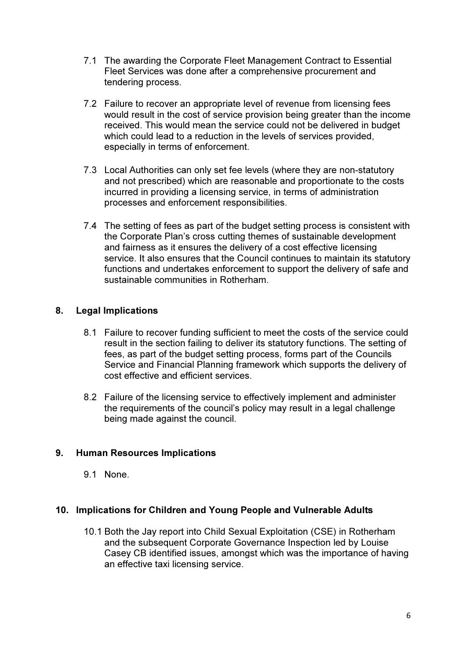- 7.1 The awarding the Corporate Fleet Management Contract to Essential Fleet Services was done after a comprehensive procurement and tendering process.
- 7.2 Failure to recover an appropriate level of revenue from licensing fees would result in the cost of service provision being greater than the income received. This would mean the service could not be delivered in budget which could lead to a reduction in the levels of services provided, especially in terms of enforcement.
- 7.3 Local Authorities can only set fee levels (where they are non-statutory and not prescribed) which are reasonable and proportionate to the costs incurred in providing a licensing service, in terms of administration processes and enforcement responsibilities.
- 7.4 The setting of fees as part of the budget setting process is consistent with the Corporate Plan's cross cutting themes of sustainable development and fairness as it ensures the delivery of a cost effective licensing service. It also ensures that the Council continues to maintain its statutory functions and undertakes enforcement to support the delivery of safe and sustainable communities in Rotherham.

# 8. Legal Implications

- 8.1 Failure to recover funding sufficient to meet the costs of the service could result in the section failing to deliver its statutory functions. The setting of fees, as part of the budget setting process, forms part of the Councils Service and Financial Planning framework which supports the delivery of cost effective and efficient services.
- 8.2 Failure of the licensing service to effectively implement and administer the requirements of the council's policy may result in a legal challenge being made against the council.

### 9. Human Resources Implications

9.1 None.

### 10. Implications for Children and Young People and Vulnerable Adults

10.1 Both the Jay report into Child Sexual Exploitation (CSE) in Rotherham and the subsequent Corporate Governance Inspection led by Louise Casey CB identified issues, amongst which was the importance of having an effective taxi licensing service.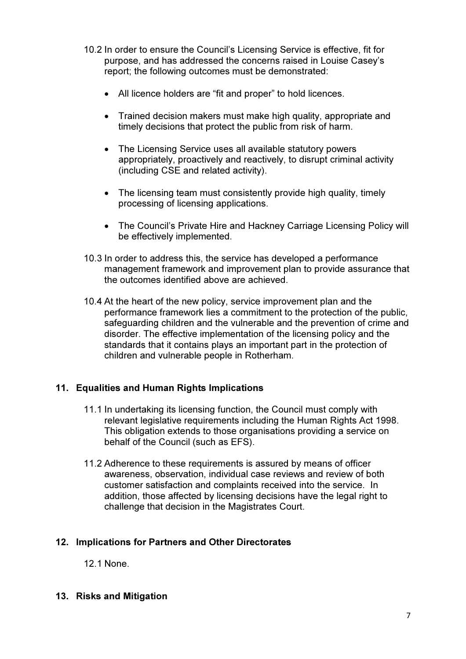- 10.2 In order to ensure the Council's Licensing Service is effective, fit for purpose, and has addressed the concerns raised in Louise Casey's report; the following outcomes must be demonstrated:
	- All licence holders are "fit and proper" to hold licences.
	- Trained decision makers must make high quality, appropriate and timely decisions that protect the public from risk of harm.
	- The Licensing Service uses all available statutory powers appropriately, proactively and reactively, to disrupt criminal activity (including CSE and related activity).
	- The licensing team must consistently provide high quality, timely processing of licensing applications.
	- The Council's Private Hire and Hackney Carriage Licensing Policy will be effectively implemented.
- 10.3 In order to address this, the service has developed a performance management framework and improvement plan to provide assurance that the outcomes identified above are achieved.
- 10.4 At the heart of the new policy, service improvement plan and the performance framework lies a commitment to the protection of the public, safeguarding children and the vulnerable and the prevention of crime and disorder. The effective implementation of the licensing policy and the standards that it contains plays an important part in the protection of children and vulnerable people in Rotherham.

# 11. Equalities and Human Rights Implications

- 11.1 In undertaking its licensing function, the Council must comply with relevant legislative requirements including the Human Rights Act 1998. This obligation extends to those organisations providing a service on behalf of the Council (such as EFS).
- 11.2 Adherence to these requirements is assured by means of officer awareness, observation, individual case reviews and review of both customer satisfaction and complaints received into the service. In addition, those affected by licensing decisions have the legal right to challenge that decision in the Magistrates Court.

### 12. Implications for Partners and Other Directorates

12.1 None.

13. Risks and Mitigation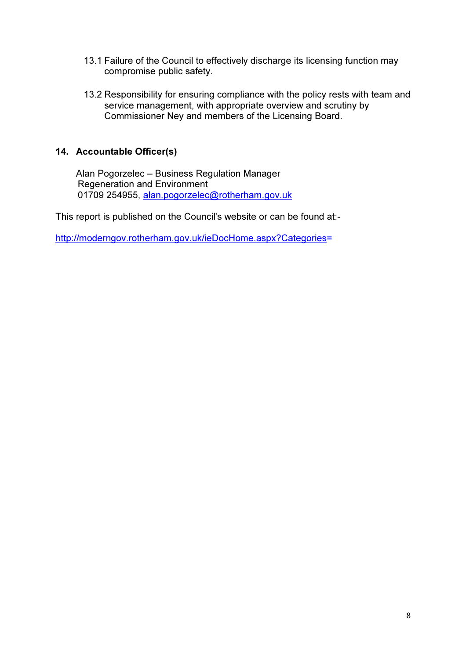- 13.1 Failure of the Council to effectively discharge its licensing function may compromise public safety.
- 13.2 Responsibility for ensuring compliance with the policy rests with team and service management, with appropriate overview and scrutiny by Commissioner Ney and members of the Licensing Board.

# 14. Accountable Officer(s)

Alan Pogorzelec – Business Regulation Manager Regeneration and Environment 01709 254955, alan.pogorzelec@rotherham.gov.uk

This report is published on the Council's website or can be found at:-

http://moderngov.rotherham.gov.uk/ieDocHome.aspx?Categories=